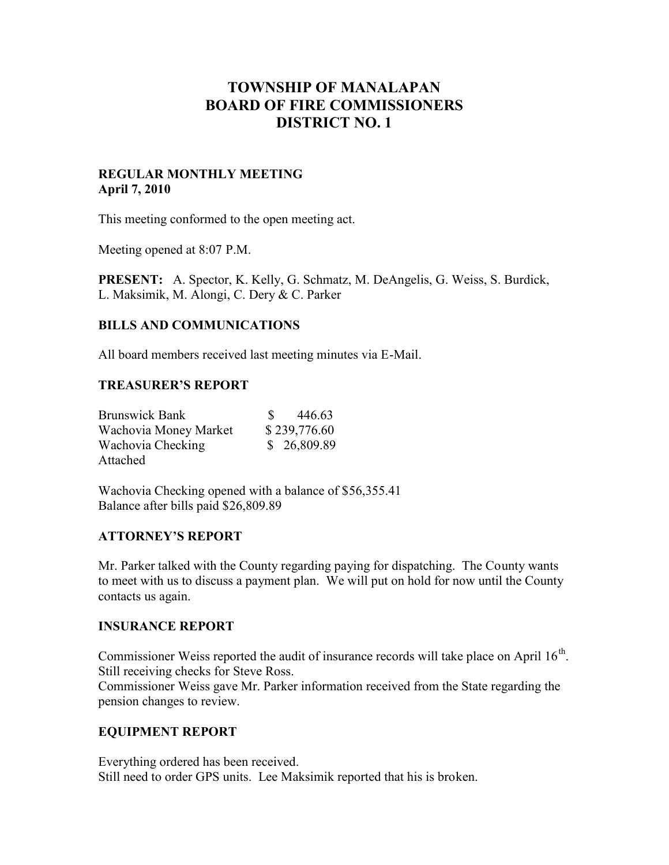# **TOWNSHIP OF MANALAPAN BOARD OF FIRE COMMISSIONERS DISTRICT NO. 1**

## **REGULAR MONTHLY MEETING April 7, 2010**

This meeting conformed to the open meeting act.

Meeting opened at 8:07 P.M.

**PRESENT:** A. Spector, K. Kelly, G. Schmatz, M. DeAngelis, G. Weiss, S. Burdick, L. Maksimik, M. Alongi, C. Dery & C. Parker

## **BILLS AND COMMUNICATIONS**

All board members received last meeting minutes via E-Mail.

## **TREASURER'S REPORT**

| <b>Brunswick Bank</b> | 446.63<br>S. |
|-----------------------|--------------|
| Wachovia Money Market | \$239,776.60 |
| Wachovia Checking     | \$26,809.89  |
| Attached              |              |

Wachovia Checking opened with a balance of \$56,355.41 Balance after bills paid \$26,809.89

## **ATTORNEY'S REPORT**

Mr. Parker talked with the County regarding paying for dispatching. The County wants to meet with us to discuss a payment plan. We will put on hold for now until the County contacts us again.

## **INSURANCE REPORT**

Commissioner Weiss reported the audit of insurance records will take place on April  $16^{th}$ . Still receiving checks for Steve Ross.

Commissioner Weiss gave Mr. Parker information received from the State regarding the pension changes to review.

# **EQUIPMENT REPORT**

Everything ordered has been received. Still need to order GPS units. Lee Maksimik reported that his is broken.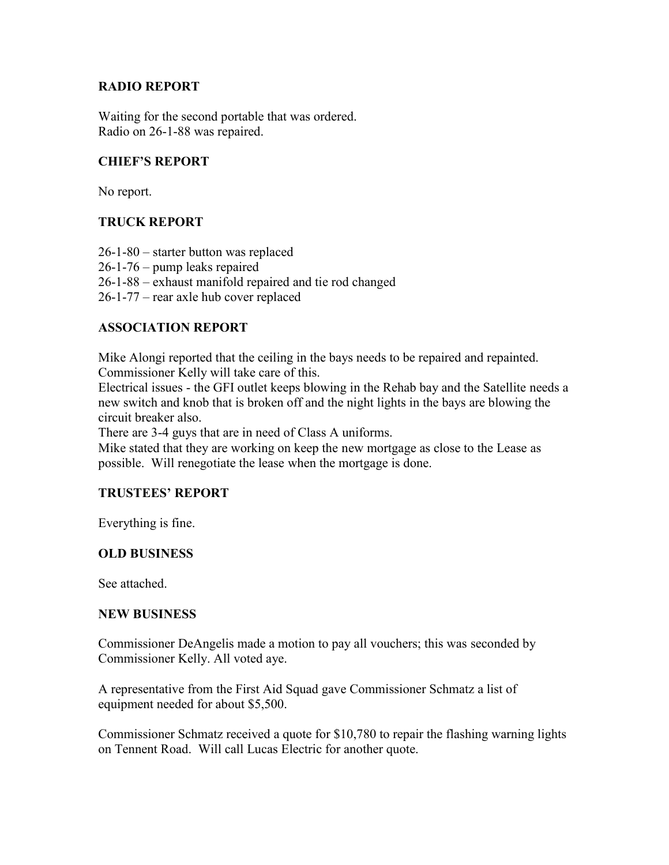## **RADIO REPORT**

Waiting for the second portable that was ordered. Radio on 26-1-88 was repaired.

## **CHIEF'S REPORT**

No report.

# **TRUCK REPORT**

26-1-80 – starter button was replaced 26-1-76 – pump leaks repaired 26-1-88 – exhaust manifold repaired and tie rod changed 26-1-77 – rear axle hub cover replaced

## **ASSOCIATION REPORT**

Mike Alongi reported that the ceiling in the bays needs to be repaired and repainted. Commissioner Kelly will take care of this.

Electrical issues - the GFI outlet keeps blowing in the Rehab bay and the Satellite needs a new switch and knob that is broken off and the night lights in the bays are blowing the circuit breaker also.

There are 3-4 guys that are in need of Class A uniforms.

Mike stated that they are working on keep the new mortgage as close to the Lease as possible. Will renegotiate the lease when the mortgage is done.

## **TRUSTEES' REPORT**

Everything is fine.

## **OLD BUSINESS**

See attached.

## **NEW BUSINESS**

Commissioner DeAngelis made a motion to pay all vouchers; this was seconded by Commissioner Kelly. All voted aye.

A representative from the First Aid Squad gave Commissioner Schmatz a list of equipment needed for about \$5,500.

Commissioner Schmatz received a quote for \$10,780 to repair the flashing warning lights on Tennent Road. Will call Lucas Electric for another quote.